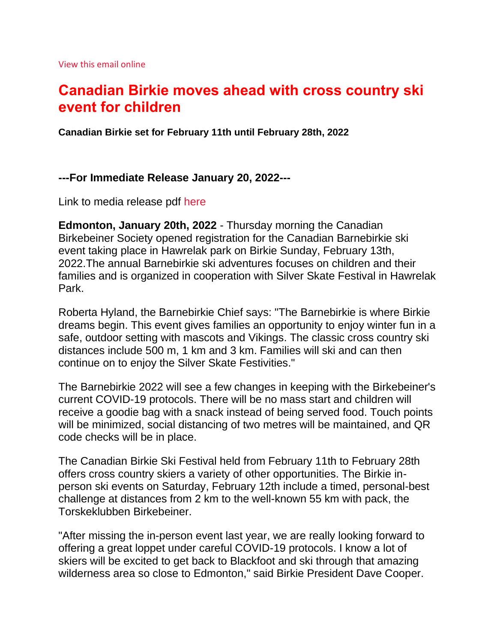# **Canadian Birkie moves ahead with cross country ski event for children**

**Canadian Birkie set for February 11th until February 28th, 2022** 

## **---For Immediate Release January 20, 2022---**

Link to media release pdf [here](https://canadianbirkie.com/?nltr=MTk5OzkzNjE7aHR0cHM6Ly9jYW5hZGlhbmJpcmtpZS5jb20vd3AtY29udGVudC91cGxvYWRzLzIwMjIwMTIwX21lZGlhcmVsZWFzZV92MS5wZGY7OzA4ZDQ5ZGUxYTA4YTg4MzI1NDQwNDZhOWY1Yzc0MmZm)

**Edmonton, January 20th, 2022** - Thursday morning the Canadian Birkebeiner Society opened registration for the Canadian Barnebirkie ski event taking place in Hawrelak park on Birkie Sunday, February 13th, 2022.The annual Barnebirkie ski adventures focuses on children and their families and is organized in cooperation with Silver Skate Festival in Hawrelak Park.

Roberta Hyland, the Barnebirkie Chief says: "The Barnebirkie is where Birkie dreams begin. This event gives families an opportunity to enjoy winter fun in a safe, outdoor setting with mascots and Vikings. The classic cross country ski distances include 500 m, 1 km and 3 km. Families will ski and can then continue on to enjoy the Silver Skate Festivities."

The Barnebirkie 2022 will see a few changes in keeping with the Birkebeiner's current COVID-19 protocols. There will be no mass start and children will receive a goodie bag with a snack instead of being served food. Touch points will be minimized, social distancing of two metres will be maintained, and QR code checks will be in place.

The Canadian Birkie Ski Festival held from February 11th to February 28th offers cross country skiers a variety of other opportunities. The Birkie inperson ski events on Saturday, February 12th include a timed, personal-best challenge at distances from 2 km to the well-known 55 km with pack, the Torskeklubben Birkebeiner.

"After missing the in-person event last year, we are really looking forward to offering a great loppet under careful COVID-19 protocols. I know a lot of skiers will be excited to get back to Blackfoot and ski through that amazing wilderness area so close to Edmonton," said Birkie President Dave Cooper.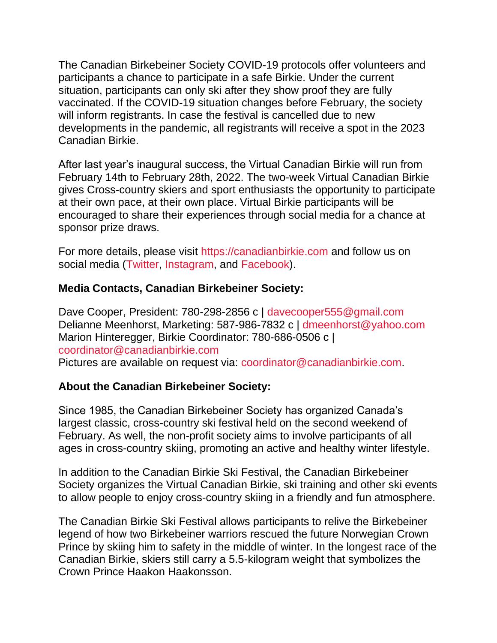The Canadian Birkebeiner Society COVID-19 protocols offer volunteers and participants a chance to participate in a safe Birkie. Under the current situation, participants can only ski after they show proof they are fully vaccinated. If the COVID-19 situation changes before February, the society will inform registrants. In case the festival is cancelled due to new developments in the pandemic, all registrants will receive a spot in the 2023 Canadian Birkie.

After last year's inaugural success, the Virtual Canadian Birkie will run from February 14th to February 28th, 2022. The two-week Virtual Canadian Birkie gives Cross-country skiers and sport enthusiasts the opportunity to participate at their own pace, at their own place. Virtual Birkie participants will be encouraged to share their experiences through social media for a chance at sponsor prize draws.

For more details, please visit [https://canadianbirkie.com](https://canadianbirkie.com/?nltr=MTk5OzkzNjE7aHR0cHM6Ly9jYW5hZGlhbmJpcmtpZS5jb207OzhiMjI4Yzc3ZWU4NTFkMjQ2MTM5MjllNmU0NzA4NTM0) and follow us on social media [\(Twitter,](https://canadianbirkie.com/?nltr=MTk5OzkzNjE7aHR0cHM6Ly90d2l0dGVyLmNvbS9jYW5hZGlhbmJpcmtpZTs7YmZlNWU0MjY2OTczMWVmNDEwZjVlZDE3OTlhOTZhZDA%3D) [Instagram,](https://canadianbirkie.com/?nltr=MTk5OzkzNjE7aHR0cHM6Ly93d3cuaW5zdGFncmFtLmNvbS9jYW5hZGlhbmJpcmtpZS87OzU0YTVkMjA3MTllMzNiYTgyMzQwMmVkZGI4ZjZiYmY4) and [Facebook\)](https://canadianbirkie.com/?nltr=MTk5OzkzNjE7aHR0cHM6Ly93d3cuZmFjZWJvb2suY29tL2NkbmJpcmtpZS87OzRhMjc5ODllZDJjZThiYTIxYTY0NjhkNzIxMTM2NmVl).

# **Media Contacts, Canadian Birkebeiner Society:**

Dave Cooper, President: 780-298-2856 c | [davecooper555@gmail.com](mailto:davecooper555@gmail.com) Delianne Meenhorst, Marketing: 587-986-7832 c | [dmeenhorst@yahoo.com](mailto:dmeenhorst@yahoo.com) Marion Hinteregger, Birkie Coordinator: 780-686-0506 c | [coordinator@canadianbirkie.com](mailto:coordinator@canadianbirkie.com)

Pictures are available on request via: [coordinator@canadianbirkie.com.](mailto:coordinator@canadianbirkie.com)

## **About the Canadian Birkebeiner Society:**

Since 1985, the Canadian Birkebeiner Society has organized Canada's largest classic, cross-country ski festival held on the second weekend of February. As well, the non-profit society aims to involve participants of all ages in cross-country skiing, promoting an active and healthy winter lifestyle.

In addition to the Canadian Birkie Ski Festival, the Canadian Birkebeiner Society organizes the Virtual Canadian Birkie, ski training and other ski events to allow people to enjoy cross-country skiing in a friendly and fun atmosphere.

The Canadian Birkie Ski Festival allows participants to relive the Birkebeiner legend of how two Birkebeiner warriors rescued the future Norwegian Crown Prince by skiing him to safety in the middle of winter. In the longest race of the Canadian Birkie, skiers still carry a 5.5-kilogram weight that symbolizes the Crown Prince Haakon Haakonsson.